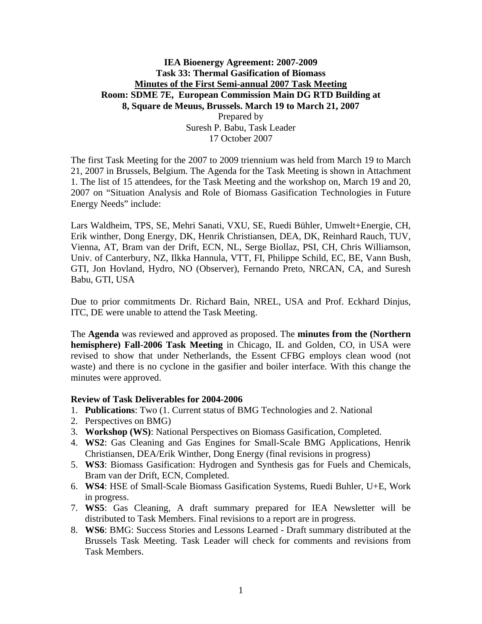## **IEA Bioenergy Agreement: 2007-2009 Task 33: Thermal Gasification of Biomass Minutes of the First Semi-annual 2007 Task Meeting Room: SDME 7E, European Commission Main DG RTD Building at 8, Square de Meuus, Brussels. March 19 to March 21, 2007**  Prepared by

Suresh P. Babu, Task Leader 17 October 2007

The first Task Meeting for the 2007 to 2009 triennium was held from March 19 to March 21, 2007 in Brussels, Belgium. The Agenda for the Task Meeting is shown in Attachment 1. The list of 15 attendees, for the Task Meeting and the workshop on, March 19 and 20, 2007 on "Situation Analysis and Role of Biomass Gasification Technologies in Future Energy Needs" include:

Lars Waldheim, TPS, SE, Mehri Sanati, VXU, SE, Ruedi Bühler, Umwelt+Energie, CH, Erik winther, Dong Energy, DK, Henrik Christiansen, DEA, DK, Reinhard Rauch, TUV, Vienna, AT, Bram van der Drift, ECN, NL, Serge Biollaz, PSI, CH, Chris Williamson, Univ. of Canterbury, NZ, Ilkka Hannula, VTT, FI, Philippe Schild, EC, BE, Vann Bush, GTI, Jon Hovland, Hydro, NO (Observer), [Fernando Preto, NRCAN, CA, and Suresh](mailto:Fernando.preto@nrcan.gc.ca)  [Babu, GTI, USA](mailto:Fernando.preto@nrcan.gc.ca) 

Due to prior commitments Dr. Richard Bain, NREL, USA and Prof. Eckhard Dinjus, ITC, DE were unable to attend the Task Meeting.

The **Agenda** was reviewed and approved as proposed. The **minutes from the (Northern hemisphere) Fall-2006 Task Meeting** in Chicago, IL and Golden, CO, in USA were revised to show that under Netherlands, the Essent CFBG employs clean wood (not waste) and there is no cyclone in the gasifier and boiler interface. With this change the minutes were approved.

## **Review of Task Deliverables for 2004-2006**

- 1. **Publications**: Two (1. Current status of BMG Technologies and 2. National
- 2. Perspectives on BMG)
- 3. **Workshop (WS)**: National Perspectives on Biomass Gasification, Completed.
- 4. **WS2**: Gas Cleaning and Gas Engines for Small-Scale BMG Applications, Henrik Christiansen, DEA/Erik Winther, Dong Energy (final revisions in progress)
- 5. **WS3**: Biomass Gasification: Hydrogen and Synthesis gas for Fuels and Chemicals, Bram van der Drift, ECN, Completed.
- 6. **WS4**: HSE of Small-Scale Biomass Gasification Systems, Ruedi Buhler, U+E, Work in progress.
- 7. **WS5**: Gas Cleaning, A draft summary prepared for IEA Newsletter will be distributed to Task Members. Final revisions to a report are in progress.
- 8. **WS6**: BMG: Success Stories and Lessons Learned Draft summary distributed at the Brussels Task Meeting. Task Leader will check for comments and revisions from Task Members.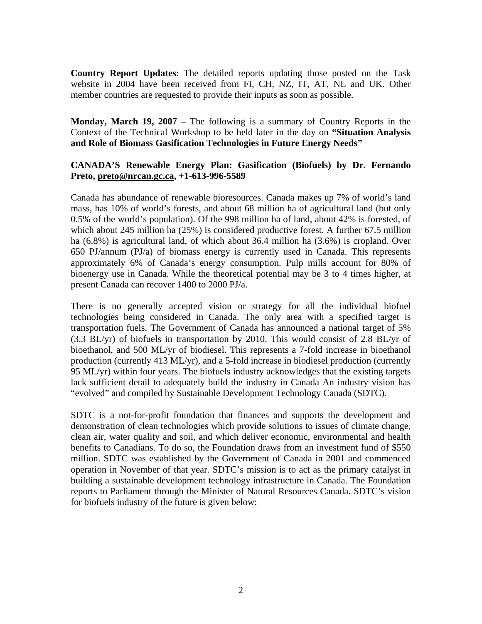**Country Report Updates**: The detailed reports updating those posted on the Task website in 2004 have been received from FI, CH, NZ, IT, AT, NL and UK. Other member countries are requested to provide their inputs as soon as possible.

**Monday, March 19, 2007 –** The following is a summary of Country Reports in the Context of the Technical Workshop to be held later in the day on **"Situation Analysis and Role of Biomass Gasification Technologies in Future Energy Needs"** 

## **CANADA'S Renewable Energy Plan: Gasification (Biofuels) by Dr. Fernando Preto, [preto@nrcan.gc.ca](mailto:preto@nrcan.gc.ca), +1-613-996-5589**

Canada has abundance of renewable bioresources. Canada makes up 7% of world's land mass, has 10% of world's forests, and about 68 million ha of agricultural land (but only 0.5% of the world's population). Of the 998 million ha of land, about 42% is forested, of which about 245 million ha (25%) is considered productive forest. A further 67.5 million ha (6.8%) is agricultural land, of which about 36.4 million ha (3.6%) is cropland. Over 650 PJ/annum (PJ/a) of biomass energy is currently used in Canada. This represents approximately 6% of Canada's energy consumption. Pulp mills account for 80% of bioenergy use in Canada. While the theoretical potential may be 3 to 4 times higher, at present Canada can recover 1400 to 2000 PJ/a.

There is no generally accepted vision or strategy for all the individual biofuel technologies being considered in Canada. The only area with a specified target is transportation fuels. The Government of Canada has announced a national target of 5% (3.3 BL/yr) of biofuels in transportation by 2010. This would consist of 2.8 BL/yr of bioethanol, and 500 ML/yr of biodiesel. This represents a 7-fold increase in bioethanol production (currently 413 ML/yr), and a 5-fold increase in biodiesel production (currently 95 ML/yr) within four years. The biofuels industry acknowledges that the existing targets lack sufficient detail to adequately build the industry in Canada An industry vision has "evolved" and compiled by Sustainable Development Technology Canada (SDTC).

SDTC is a not-for-profit foundation that finances and supports the development and demonstration of clean technologies which provide solutions to issues of climate change, clean air, water quality and soil, and which deliver economic, environmental and health benefits to Canadians. To do so, the Foundation draws from an investment fund of \$550 million. SDTC was established by the Government of Canada in 2001 and commenced operation in November of that year. SDTC's mission is to act as the primary catalyst in building a sustainable development technology infrastructure in Canada. The Foundation reports to Parliament through the Minister of Natural Resources Canada. SDTC's vision for biofuels industry of the future is given below: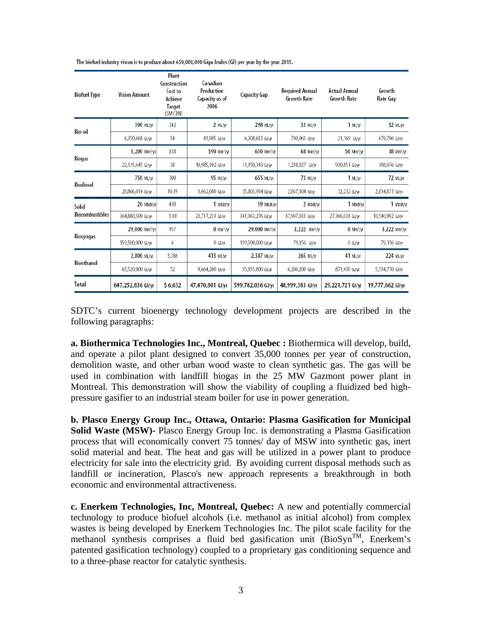| <b>Biofuel Type</b>             | <b>Vision Amount</b>        | Plant<br>Construction<br>Cost to<br>Achieve<br><b>Target</b><br>(SM CDN) | Canadian<br>Production<br>Capacity as of<br>2006 | <b>Capacity Gap</b>        | <b>Required Annual</b><br><b>Growth Rate</b> | <b>Actual Annual</b><br>Growth Rate | Growth<br>Rate Gap        |
|---------------------------------|-----------------------------|--------------------------------------------------------------------------|--------------------------------------------------|----------------------------|----------------------------------------------|-------------------------------------|---------------------------|
| Bio-oil                         | 300 ML/yr                   | 342                                                                      | 2 ML/yr                                          | 298 ML/vr                  | 33 ML/vr                                     | 1 ML/vr                             | 32 ML/vr                  |
|                                 | 6,350,668 GJ/yr             | 54                                                                       | 41,985 GJ/yr                                     | 6,308,683 GJ/yr            | 700,965 GJ/vr                                | 21,169 GJ/w                         | 679,796 GJ/vr             |
| <b>Biogas</b>                   | $1,200$ Mm <sup>3</sup> /vr | 838                                                                      | 590 Mm <sup>3</sup> /yr                          | 610 Mm <sup>3</sup> /yr    | 68 Mm <sup>3</sup> /vr                       | 50 Mm <sup>3</sup> /vr              | $18$ Mm <sup>3</sup> /vr  |
|                                 | 22,135,645 GJ/w             | 38                                                                       | 10,985,302 GJ/vr                                 | 11,150,343 GJ/yr           | 1,238,927 GJ/vr                              | 930,851 GJ/w                        | 308,076 GJ/vr             |
| Biodiesel                       | 750 ML/yr                   | 300                                                                      | 95 ML/yr                                         | 655 ML/vr                  | 73 ML/yr                                     | 1 ML/yr                             | 72 ML/VT                  |
|                                 | 28,866,014 GJ/yr            | 10.39                                                                    | 3,062,080 GJ/yr                                  | 25,803,934 GJ/yr           | 2,867,104 GJ/yr                              | 32,232 GJ/w                         | 2,834,871 GJ/yr           |
| Solid<br><b>Biocombustibles</b> | 20 Mbdt/vr                  | 430                                                                      | 1 Mbdt/yr                                        | 19 Mbdt/vr                 | 2 Mbdt/vr                                    | 1 Mbdt/vr                           | 1 Mbdt/vr                 |
|                                 | 364,880,509 GJ/yr           | 1.18                                                                     | 23,717,233 GJ/vr                                 | 341,163,276 GJ/vr          | 37,907,031 GJ/yr                             | 27,366,038 GJ/yr                    | 10,540,992 GJ/vr          |
| Biosyngas                       | 29,000 Mm <sup>3</sup> /vr  | 957                                                                      | $0 \text{ Mm}^3/\text{yr}$                       | 29,000 Mm <sup>3</sup> /vr | 3,222 Mm <sup>3</sup> /vr                    | $0 \text{ Mm}^3/\text{yr}$          | 3,222 Mm <sup>3</sup> /vr |
|                                 | 159,500,000 GJ/w            | 6                                                                        | $0$ GJ/yr                                        | 159,500,000 GJ/yr          | 79,156 GJ/yr                                 | $0$ GJ/yr                           | 79,156 GJ/vr              |
| Bioethanol                      | 2,800 ML/yr                 | 3,386                                                                    | 413 ML/vr                                        | 2,387 ML/vr                | 265 ML/vr                                    | 41 ML/yr                            | 224 ML/vr                 |
|                                 | 65,520,000 GJ/yr            | 52                                                                       | 9,664,200 GJ/yr                                  | 55,855,800 GJ/yr           | 6,206,200 GJ/yr                              | 871,430 GJ/yr                       | 5,334,770 GJ/yr           |
| Total                           | 647,252,836 GJ/yr           | \$6,632                                                                  | 47,470,801 GJ/yr                                 | 599,782,036 GJ/vr          | 48,999,383 GJ/yr                             | 29,221,721 GJ/yr                    | 19.777,662 GJ/yr          |

The biofuel industry vision is to produce about 650,000,000 Giga Joules (GJ) per year by the year 2015.

SDTC's current bioenergy technology development projects are described in the following paragraphs:

**a. Biothermica Technologies Inc., Montreal, Quebec :** Biothermica will develop, build, and operate a pilot plant designed to convert 35,000 tonnes per year of construction, demolition waste, and other urban wood waste to clean synthetic gas. The gas will be used in combination with landfill biogas in the 25 MW Gazmont power plant in Montreal. This demonstration will show the viability of coupling a fluidized bed highpressure gasifier to an industrial steam boiler for use in power generation.

**b. Plasco Energy Group Inc., Ottawa, Ontario: Plasma Gasification for Municipal Solid Waste (MSW)-** Plasco Energy Group Inc. is demonstrating a Plasma Gasification process that will economically convert 75 tonnes/ day of MSW into synthetic gas, inert solid material and heat. The heat and gas will be utilized in a power plant to produce electricity for sale into the electricity grid. By avoiding current disposal methods such as landfill or incineration, Plasco's new approach represents a breakthrough in both economic and environmental attractiveness.

**c. Enerkem Technologies, Inc, Montreal, Quebec:** A new and potentially commercial technology to produce biofuel alcohols (i.e. methanol as initial alcohol) from complex wastes is being developed by Enerkem Technologies Inc. The pilot scale facility for the methanol synthesis comprises a fluid bed gasification unit  $(BioSyn^{TM})$ , Enerkem's patented gasification technology) coupled to a proprietary gas conditioning sequence and to a three-phase reactor for catalytic synthesis.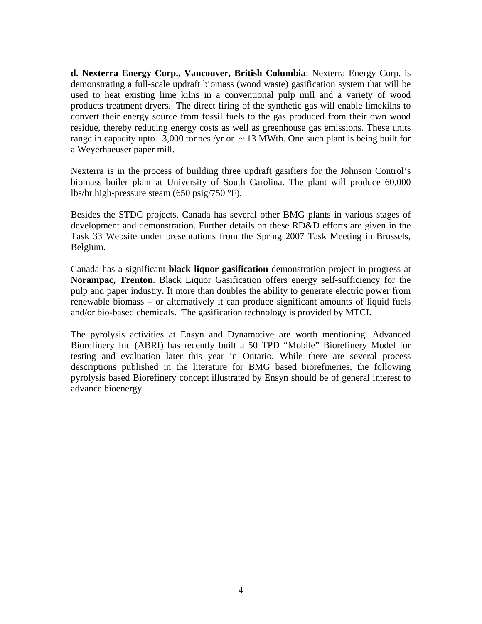**d. Nexterra Energy Corp., Vancouver, British Columbia**: Nexterra Energy Corp. is demonstrating a full-scale updraft biomass (wood waste) gasification system that will be used to heat existing lime kilns in a conventional pulp mill and a variety of wood products treatment dryers. The direct firing of the synthetic gas will enable limekilns to convert their energy source from fossil fuels to the gas produced from their own wood residue, thereby reducing energy costs as well as greenhouse gas emissions. These units range in capacity upto 13,000 tonnes /yr or  $\sim$  13 MWth. One such plant is being built for a Weyerhaeuser paper mill.

Nexterra is in the process of building three updraft gasifiers for the Johnson Control's biomass boiler plant at University of South Carolina. The plant will produce 60,000 lbs/hr high-pressure steam (650 psig/750 °F).

Besides the STDC projects, Canada has several other BMG plants in various stages of development and demonstration. Further details on these RD&D efforts are given in the Task 33 Website under presentations from the Spring 2007 Task Meeting in Brussels, Belgium.

Canada has a significant **black liquor gasification** demonstration project in progress at **Norampac, Trenton**. Black Liquor Gasification offers energy self-sufficiency for the pulp and paper industry. It more than doubles the ability to generate electric power from renewable biomass – or alternatively it can produce significant amounts of liquid fuels and/or bio-based chemicals. The gasification technology is provided by MTCI.

The pyrolysis activities at Ensyn and Dynamotive are worth mentioning. Advanced Biorefinery Inc (ABRI) has recently built a 50 TPD "Mobile" Biorefinery Model for testing and evaluation later this year in Ontario. While there are several process descriptions published in the literature for BMG based biorefineries, the following pyrolysis based Biorefinery concept illustrated by Ensyn should be of general interest to advance bioenergy.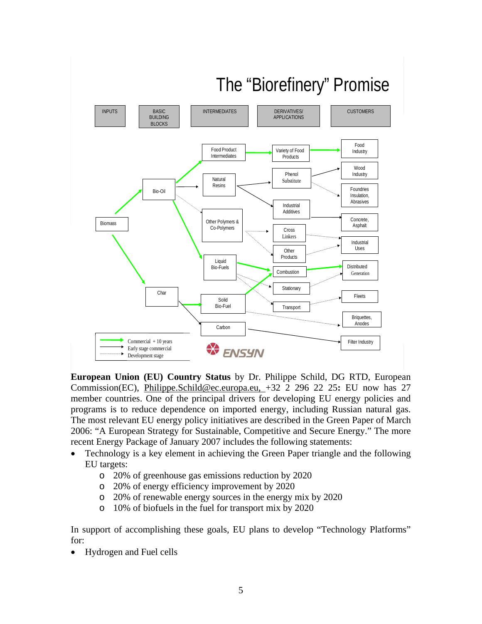

# The "Biorefinery" Promise The "Biorefinery" Promise

**European Union (EU) Country Status** by Dr. Philippe Schild, DG RTD, European Commission(EC), [Philippe.Schild@ec.europa.eu,](mailto:Philippe.Schild@ec.europa.eu) +32 2 296 22 25**:** EU now has 27 member countries. One of the principal drivers for developing EU energy policies and programs is to reduce dependence on imported energy, including Russian natural gas. The most relevant EU energy policy initiatives are described in the Green Paper of March 2006: "A European Strategy for Sustainable, Competitive and Secure Energy." The more recent Energy Package of January 2007 includes the following statements:

- Technology is a key element in achieving the Green Paper triangle and the following EU targets:
	- o 20% of greenhouse gas emissions reduction by 2020
	- o 20% of energy efficiency improvement by 2020
	- o 20% of renewable energy sources in the energy mix by 2020
	- o 10% of biofuels in the fuel for transport mix by 2020

In support of accomplishing these goals, EU plans to develop "Technology Platforms" for:

• Hydrogen and Fuel cells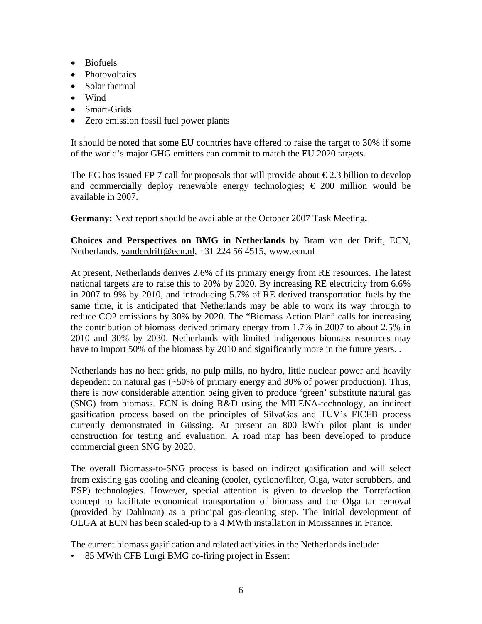- Biofuels
- Photovoltaics
- Solar thermal
- Wind
- Smart-Grids
- Zero emission fossil fuel power plants

It should be noted that some EU countries have offered to raise the target to 30% if some of the world's major GHG emitters can commit to match the EU 2020 targets.

The EC has issued FP 7 call for proposals that will provide about  $\epsilon$ 2.3 billion to develop and commercially deploy renewable energy technologies;  $\epsilon$  200 million would be available in 2007.

**Germany:** Next report should be available at the October 2007 Task Meeting**.** 

**Choices and Perspectives on BMG in Netherlands** by Bram van der Drift, ECN, Netherlands, [vanderdrift@ecn.nl](mailto:vanderdrift@ecn.nl), +31 224 56 4515, www.ecn.nl

At present, Netherlands derives 2.6% of its primary energy from RE resources. The latest national targets are to raise this to 20% by 2020. By increasing RE electricity from 6.6% in 2007 to 9% by 2010, and introducing 5.7% of RE derived transportation fuels by the same time, it is anticipated that Netherlands may be able to work its way through to reduce CO2 emissions by 30% by 2020. The "Biomass Action Plan" calls for increasing the contribution of biomass derived primary energy from 1.7% in 2007 to about 2.5% in 2010 and 30% by 2030. Netherlands with limited indigenous biomass resources may have to import 50% of the biomass by 2010 and significantly more in the future years..

Netherlands has no heat grids, no pulp mills, no hydro, little nuclear power and heavily dependent on natural gas (~50% of primary energy and 30% of power production). Thus, there is now considerable attention being given to produce 'green' substitute natural gas (SNG) from biomass. ECN is doing R&D using the MILENA-technology, an indirect gasification process based on the principles of SilvaGas and TUV's FICFB process currently demonstrated in Güssing. At present an 800 kWth pilot plant is under construction for testing and evaluation. A road map has been developed to produce commercial green SNG by 2020.

The overall Biomass-to-SNG process is based on indirect gasification and will select from existing gas cooling and cleaning (cooler, cyclone/filter, Olga, water scrubbers, and ESP) technologies. However, special attention is given to develop the Torrefaction concept to facilitate economical transportation of biomass and the Olga tar removal (provided by Dahlman) as a principal gas-cleaning step. The initial development of OLGA at ECN has been scaled-up to a 4 MWth installation in Moissannes in France.

The current biomass gasification and related activities in the Netherlands include:

• 85 MWth CFB Lurgi BMG co-firing project in Essent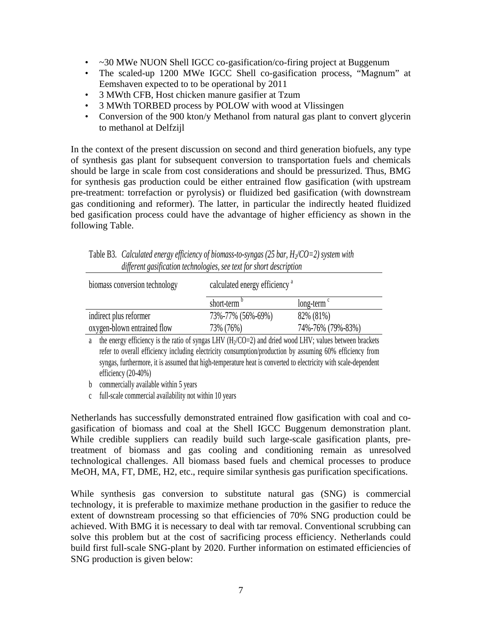- ~30 MWe NUON Shell IGCC co-gasification/co-firing project at Buggenum
- The scaled-up 1200 MWe IGCC Shell co-gasification process, "Magnum" at Eemshaven expected to to be operational by 2011
- 3 MWth CFB, Host chicken manure gasifier at Tzum
- 3 MWth TORBED process by POLOW with wood at Vlissingen
- Conversion of the 900 kton/y Methanol from natural gas plant to convert glycerin to methanol at Delfzijl

In the context of the present discussion on second and third generation biofuels, any type of synthesis gas plant for subsequent conversion to transportation fuels and chemicals should be large in scale from cost considerations and should be pressurized. Thus, BMG for synthesis gas production could be either entrained flow gasification (with upstream pre-treatment: torrefaction or pyrolysis) or fluidized bed gasification (with downstream gas conditioning and reformer). The latter, in particular the indirectly heated fluidized bed gasification process could have the advantage of higher efficiency as shown in the following Table.

| biomass conversion technology | calculated energy efficiency <sup>a</sup> |                          |  |
|-------------------------------|-------------------------------------------|--------------------------|--|
|                               | short-term                                | $long-term$ <sup>c</sup> |  |
| indirect plus reformer        | 73%-77% (56%-69%)                         | 82\% (81\%)              |  |
| oxygen-blown entrained flow   | 73% (76%)                                 | 74%-76% (79%-83%)        |  |

Table B3. *Calculated energy efficiency of biomass-to-syngas (25 bar, H<sub>2</sub>/CO=2) system with different gasification technologies, see text for short description* 

a the energy efficiency is the ratio of syngas LHV  $(H<sub>2</sub>/CO=2)$  and dried wood LHV; values between brackets refer to overall efficiency including electricity consumption/production by assuming 60% efficiency from syngas, furthermore, it is assumed that high-temperature heat is converted to electricity with scale-dependent efficiency (20-40%)

b commercially available within 5 years

c full-scale commercial availability not within 10 years

Netherlands has successfully demonstrated entrained flow gasification with coal and cogasification of biomass and coal at the Shell IGCC Buggenum demonstration plant. While credible suppliers can readily build such large-scale gasification plants, pretreatment of biomass and gas cooling and conditioning remain as unresolved technological challenges. All biomass based fuels and chemical processes to produce MeOH, MA, FT, DME, H2, etc., require similar synthesis gas purification specifications.

While synthesis gas conversion to substitute natural gas (SNG) is commercial technology, it is preferable to maximize methane production in the gasifier to reduce the extent of downstream processing so that efficiencies of 70% SNG production could be achieved. With BMG it is necessary to deal with tar removal. Conventional scrubbing can solve this problem but at the cost of sacrificing process efficiency. Netherlands could build first full-scale SNG-plant by 2020. Further information on estimated efficiencies of SNG production is given below: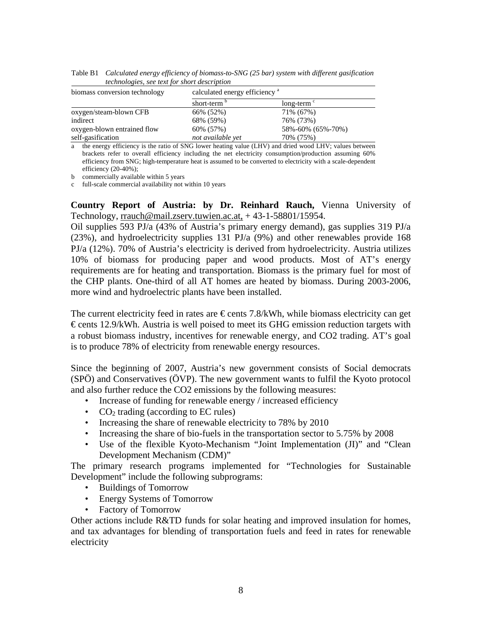| biomass conversion technology | calculated energy efficiency <sup>a</sup> |                          |  |
|-------------------------------|-------------------------------------------|--------------------------|--|
|                               | short-term                                | $long-term$ <sup>c</sup> |  |
| oxygen/steam-blown CFB        | 66% (52%)                                 | 71% (67%)                |  |
| indirect                      | 68% (59%)                                 | 76% (73%)                |  |
| oxygen-blown entrained flow   | 60% (57%)                                 | 58%-60% (65%-70%)        |  |
| self-gasification             | not available yet                         | 70% (75%)                |  |

Table B1 *Calculated energy efficiency of biomass-to-SNG (25 bar) system with different gasification technologies, see text for short description* 

a the energy efficiency is the ratio of SNG lower heating value (LHV) and dried wood LHV; values between brackets refer to overall efficiency including the net electricity consumption/production assuming 60% efficiency from SNG; high-temperature heat is assumed to be converted to electricity with a scale-dependent efficiency (20-40%);

b commercially available within 5 years

c full-scale commercial availability not within 10 years

**Country Report of Austria: by Dr. Reinhard Rauch,** Vienna University of Technology, [rrauch@mail.zserv.tuwien.ac.at,](mailto:rrauch@fbch.tuwien.ac.at) + 43-1-58801/15954.

Oil supplies 593 PJ/a (43% of Austria's primary energy demand), gas supplies 319 PJ/a (23%), and hydroelectricity supplies 131 PJ/a (9%) and other renewables provide 168 PJ/a (12%). 70% of Austria's electricity is derived from hydroelectricity. Austria utilizes 10% of biomass for producing paper and wood products. Most of AT's energy requirements are for heating and transportation. Biomass is the primary fuel for most of the CHP plants. One-third of all AT homes are heated by biomass. During 2003-2006, more wind and hydroelectric plants have been installed.

The current electricity feed in rates are  $\epsilon$  cents 7.8/kWh, while biomass electricity can get  $\epsilon$  cents 12.9/kWh. Austria is well poised to meet its GHG emission reduction targets with a robust biomass industry, incentives for renewable energy, and CO2 trading. AT's goal is to produce 78% of electricity from renewable energy resources.

Since the beginning of 2007, Austria's new government consists of Social democrats (SPÖ) and Conservatives (ÖVP). The new government wants to fulfil the Kyoto protocol and also further reduce the CO2 emissions by the following measures:

- Increase of funding for renewable energy / increased efficiency
- $CO<sub>2</sub>$  trading (according to EC rules)
- Increasing the share of renewable electricity to 78% by 2010
- Increasing the share of bio-fuels in the transportation sector to 5.75% by 2008
- Use of the flexible Kyoto-Mechanism "Joint Implementation (JI)" and "Clean Development Mechanism (CDM)"

The primary research programs implemented for "Technologies for Sustainable Development" include the following subprograms:

- Buildings of Tomorrow
- Energy Systems of Tomorrow
- Factory of Tomorrow

Other actions include R&TD funds for solar heating and improved insulation for homes, and tax advantages for blending of transportation fuels and feed in rates for renewable electricity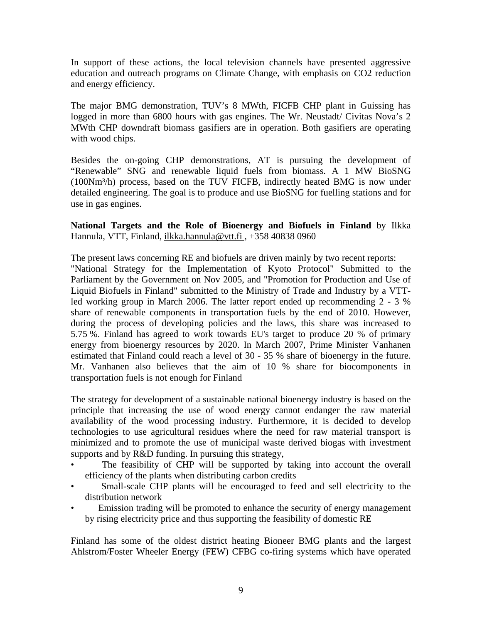In support of these actions, the local television channels have presented aggressive education and outreach programs on Climate Change, with emphasis on CO2 reduction and energy efficiency.

The major BMG demonstration, TUV's 8 MWth, FICFB CHP plant in Guissing has logged in more than 6800 hours with gas engines. The Wr. Neustadt/ Civitas Nova's 2 MWth CHP downdraft biomass gasifiers are in operation. Both gasifiers are operating with wood chips.

Besides the on-going CHP demonstrations, AT is pursuing the development of "Renewable" SNG and renewable liquid fuels from biomass. A 1 MW BioSNG (100Nm³/h) process, based on the TUV FICFB, indirectly heated BMG is now under detailed engineering. The goal is to produce and use BioSNG for fuelling stations and for use in gas engines.

**National Targets and the Role of Bioenergy and Biofuels in Finland** by Ilkka Hannula, VTT, Finland, [ilkka.hannula@vtt.fi ,](mailto:ilkka.hannula@vtt.fi) +358 40838 0960

The present laws concerning RE and biofuels are driven mainly by two recent reports: "National Strategy for the Implementation of Kyoto Protocol" Submitted to the Parliament by the Government on Nov 2005, and "Promotion for Production and Use of Liquid Biofuels in Finland" submitted to the Ministry of Trade and Industry by a VTTled working group in March 2006. The latter report ended up recommending 2 - 3 % share of renewable components in transportation fuels by the end of 2010. However, during the process of developing policies and the laws, this share was increased to 5.75 %. Finland has agreed to work towards EU's target to produce 20 % of primary energy from bioenergy resources by 2020. In March 2007, Prime Minister Vanhanen estimated that Finland could reach a level of 30 - 35 % share of bioenergy in the future. Mr. Vanhanen also believes that the aim of 10 % share for biocomponents in transportation fuels is not enough for Finland

The strategy for development of a sustainable national bioenergy industry is based on the principle that increasing the use of wood energy cannot endanger the raw material availability of the wood processing industry. Furthermore, it is decided to develop technologies to use agricultural residues where the need for raw material transport is minimized and to promote the use of municipal waste derived biogas with investment supports and by R&D funding. In pursuing this strategy,

- The feasibility of CHP will be supported by taking into account the overall efficiency of the plants when distributing carbon credits
- Small-scale CHP plants will be encouraged to feed and sell electricity to the distribution network
- Emission trading will be promoted to enhance the security of energy management by rising electricity price and thus supporting the feasibility of domestic RE

Finland has some of the oldest district heating Bioneer BMG plants and the largest Ahlstrom/Foster Wheeler Energy (FEW) CFBG co-firing systems which have operated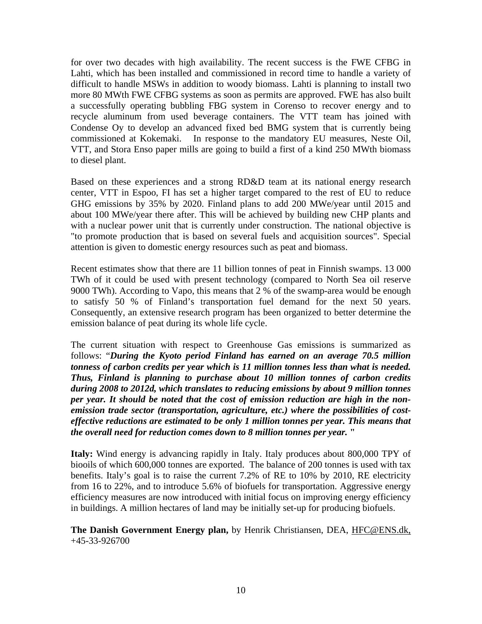for over two decades with high availability. The recent success is the FWE CFBG in Lahti, which has been installed and commissioned in record time to handle a variety of difficult to handle MSWs in addition to woody biomass. Lahti is planning to install two more 80 MWth FWE CFBG systems as soon as permits are approved. FWE has also built a successfully operating bubbling FBG system in Corenso to recover energy and to recycle aluminum from used beverage containers. The VTT team has joined with Condense Oy to develop an advanced fixed bed BMG system that is currently being commissioned at Kokemaki. In response to the mandatory EU measures, Neste Oil, VTT, and Stora Enso paper mills are going to build a first of a kind 250 MWth biomass to diesel plant.

Based on these experiences and a strong RD&D team at its national energy research center, VTT in Espoo, FI has set a higher target compared to the rest of EU to reduce GHG emissions by 35% by 2020. Finland plans to add 200 MWe/year until 2015 and about 100 MWe/year there after. This will be achieved by building new CHP plants and with a nuclear power unit that is currently under construction. The national objective is "to promote production that is based on several fuels and acquisition sources". Special attention is given to domestic energy resources such as peat and biomass.

Recent estimates show that there are 11 billion tonnes of peat in Finnish swamps. 13 000 TWh of it could be used with present technology (compared to North Sea oil reserve 9000 TWh). According to Vapo, this means that 2 % of the swamp-area would be enough to satisfy 50 % of Finland's transportation fuel demand for the next 50 years. Consequently, an extensive research program has been organized to better determine the emission balance of peat during its whole life cycle.

The current situation with respect to Greenhouse Gas emissions is summarized as follows: "*During the Kyoto period Finland has earned on an average 70.5 million tonness of carbon credits per year which is 11 million tonnes less than what is needed. Thus, Finland is planning to purchase about 10 million tonnes of carbon credits during 2008 to 2012d, which translates to reducing emissions by about 9 million tonnes per year. It should be noted that the cost of emission reduction are high in the nonemission trade sector (transportation, agriculture, etc.) where the possibilities of costeffective reductions are estimated to be only 1 million tonnes per year. This means that the overall need for reduction comes down to 8 million tonnes per year.* **"** 

**Italy:** Wind energy is advancing rapidly in Italy. Italy produces about 800,000 TPY of biooils of which 600,000 tonnes are exported. The balance of 200 tonnes is used with tax benefits. Italy's goal is to raise the current 7.2% of RE to 10% by 2010, RE electricity from 16 to 22%, and to introduce 5.6% of biofuels for transportation. Aggressive energy efficiency measures are now introduced with initial focus on improving energy efficiency in buildings. A million hectares of land may be initially set-up for producing biofuels.

**The Danish Government Energy plan,** by Henrik Christiansen, DEA, [HFC@ENS.dk,](mailto:HFC@ENS.dk,%20M:%20+43%20676%2036339381)  +45-33-926700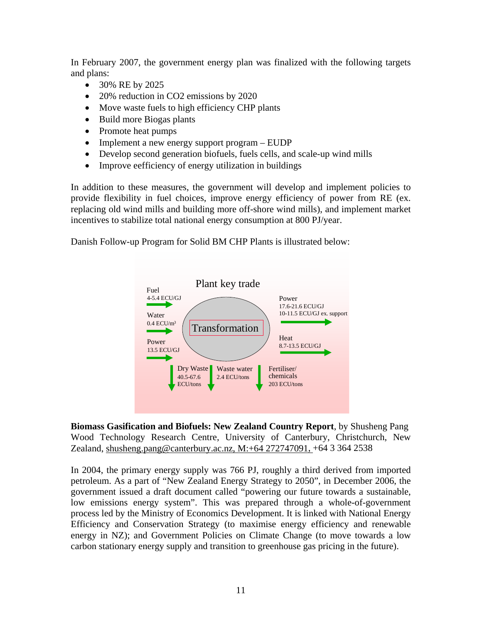In February 2007, the government energy plan was finalized with the following targets and plans:

- 30% RE by 2025
- 20% reduction in CO2 emissions by 2020
- Move waste fuels to high efficiency CHP plants
- Build more Biogas plants
- Promote heat pumps
- Implement a new energy support program EUDP
- Develop second generation biofuels, fuels cells, and scale-up wind mills
- Improve eefficiency of energy utilization in buildings

In addition to these measures, the government will develop and implement policies to provide flexibility in fuel choices, improve energy efficiency of power from RE (ex. replacing old wind mills and building more off-shore wind mills), and implement market incentives to stabilize total national energy consumption at 800 PJ/year.

Danish Follow-up Program for Solid BM CHP Plants is illustrated below:



**Biomass Gasification and Biofuels: New Zealand Country Report**, by Shusheng Pang Wood Technology Research Centre, University of Canterbury, Christchurch, New Zealand, [shusheng.pang@canterbury.ac.nz, M:+64 272747091,](mailto:shusheng.pang@canterbury.ac.nz,%20M:+64%20272747091) +64 3 364 2538

In 2004, the primary energy supply was 766 PJ, roughly a third derived from imported petroleum. As a part of "New Zealand Energy Strategy to 2050", in December 2006, the government issued a draft document called "powering our future towards a sustainable, low emissions energy system". This was prepared through a whole-of-government process led by the Ministry of Economics Development. It is linked with National Energy Efficiency and Conservation Strategy (to maximise energy efficiency and renewable energy in NZ); and Government Policies on Climate Change (to move towards a low carbon stationary energy supply and transition to greenhouse gas pricing in the future).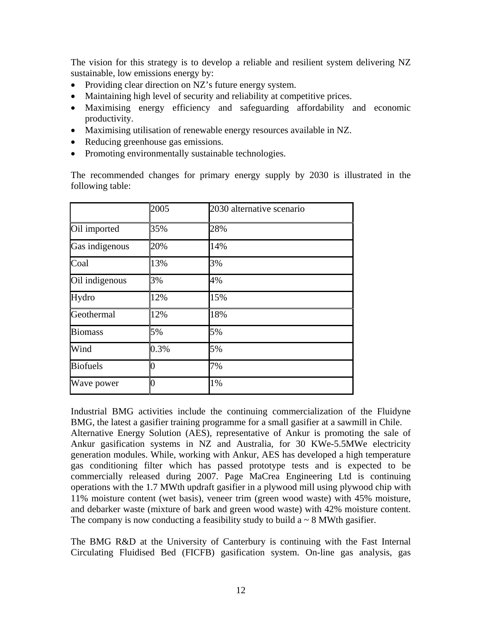The vision for this strategy is to develop a reliable and resilient system delivering NZ sustainable, low emissions energy by:

- Providing clear direction on NZ's future energy system.
- Maintaining high level of security and reliability at competitive prices.
- Maximising energy efficiency and safeguarding affordability and economic productivity.
- Maximising utilisation of renewable energy resources available in NZ.
- Reducing greenhouse gas emissions.
- Promoting environmentally sustainable technologies.

The recommended changes for primary energy supply by 2030 is illustrated in the following table:

|                 | 2005           | 2030 alternative scenario |
|-----------------|----------------|---------------------------|
| Oil imported    | 35%            | 28%                       |
| Gas indigenous  | 20%            | 14%                       |
| Coal            | 13%            | 3%                        |
| Oil indigenous  | 3%             | 4%                        |
| Hydro           | 12%            | 15%                       |
| Geothermal      | 12%            | 18%                       |
| <b>Biomass</b>  | 5%             | 5%                        |
| Wind            | 0.3%           | 5%                        |
| <b>Biofuels</b> | $\overline{0}$ | 7%                        |
| Wave power      | 0              | 1%                        |

Industrial BMG activities include the continuing commercialization of the Fluidyne BMG, the latest a gasifier training programme for a small gasifier at a sawmill in Chile. Alternative Energy Solution (AES), representative of Ankur is promoting the sale of Ankur gasification systems in NZ and Australia, for 30 KWe-5.5MWe electricity generation modules. While, working with Ankur, AES has developed a high temperature gas conditioning filter which has passed prototype tests and is expected to be commercially released during 2007. Page MaCrea Engineering Ltd is continuing operations with the 1.7 MWth updraft gasifier in a plywood mill using plywood chip with 11% moisture content (wet basis), veneer trim (green wood waste) with 45% moisture, and debarker waste (mixture of bark and green wood waste) with 42% moisture content. The company is now conducting a feasibility study to build  $a \sim 8$  MWth gasifier.

The BMG R&D at the University of Canterbury is continuing with the Fast Internal Circulating Fluidised Bed (FICFB) gasification system. On-line gas analysis, gas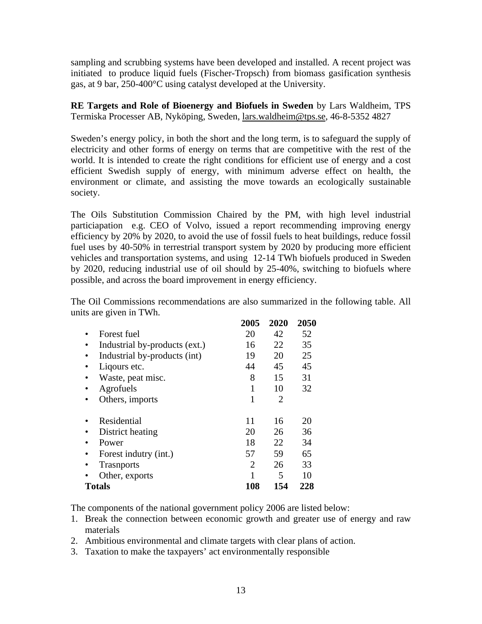sampling and scrubbing systems have been developed and installed. A recent project was initiated to produce liquid fuels (Fischer-Tropsch) from biomass gasification synthesis gas, at 9 bar, 250-400°C using catalyst developed at the University.

**RE Targets and Role of Bioenergy and Biofuels in Sweden** by Lars Waldheim, TPS Termiska Processer AB, Nyköping, Sweden, [lars.waldheim@tps.se,](mailto:lars.waldheim@tps.se) 46-8-5352 4827

Sweden's energy policy, in both the short and the long term, is to safeguard the supply of electricity and other forms of energy on terms that are competitive with the rest of the world. It is intended to create the right conditions for efficient use of energy and a cost efficient Swedish supply of energy, with minimum adverse effect on health, the environment or climate, and assisting the move towards an ecologically sustainable society.

The Oils Substitution Commission Chaired by the PM, with high level industrial particiapation e.g. CEO of Volvo, issued a report recommending improving energy efficiency by 20% by 2020, to avoid the use of fossil fuels to heat buildings, reduce fossil fuel uses by 40-50% in terrestrial transport system by 2020 by producing more efficient vehicles and transportation systems, and using 12-14 TWh biofuels produced in Sweden by 2020, reducing industrial use of oil should by 25-40%, switching to biofuels where possible, and across the board improvement in energy efficiency.

The Oil Commissions recommendations are also summarized in the following table. All units are given in TWh.

|                                           | 2005 | 2020           | 2050 |
|-------------------------------------------|------|----------------|------|
| Forest fuel<br>٠                          | 20   | 42             | 52   |
| Industrial by-products (ext.)             | 16   | 22             | 35   |
| Industrial by-products (int)<br>$\bullet$ | 19   | 20             | 25   |
| Ligours etc.                              | 44   | 45             | 45   |
| Waste, peat misc.                         | 8    | 15             | 31   |
| Agrofuels                                 | 1    | 10             | 32   |
| Others, imports                           | 1    | $\overline{2}$ |      |
| Residential                               | 11   | 16             | 20   |
| District heating                          | 20   | 26             | 36   |
| Power                                     | 18   | 22             | 34   |
| Forest indutry (int.)<br>٠                | 57   | 59             | 65   |
| <b>Trasports</b>                          | 2    | 26             | 33   |
| Other, exports                            | 1    | 5              | 10   |
| <b>Totals</b>                             | 108  | 154            | 228  |

The components of the national government policy 2006 are listed below:

- 1. Break the connection between economic growth and greater use of energy and raw materials
- 2. Ambitious environmental and climate targets with clear plans of action.
- 3. Taxation to make the taxpayers' act environmentally responsible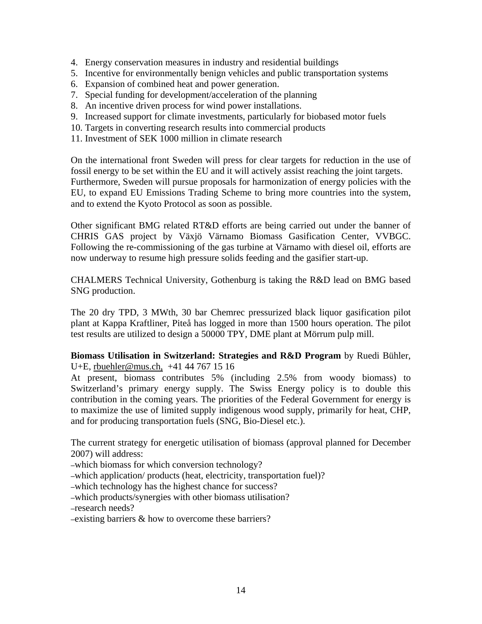- 4. Energy conservation measures in industry and residential buildings
- 5. Incentive for environmentally benign vehicles and public transportation systems
- 6. Expansion of combined heat and power generation.
- 7. Special funding for development/acceleration of the planning
- 8. An incentive driven process for wind power installations.
- 9. Increased support for climate investments, particularly for biobased motor fuels
- 10. Targets in converting research results into commercial products
- 11. Investment of SEK 1000 million in climate research

On the international front Sweden will press for clear targets for reduction in the use of fossil energy to be set within the EU and it will actively assist reaching the joint targets. Furthermore, Sweden will pursue proposals for harmonization of energy policies with the EU, to expand EU Emissions Trading Scheme to bring more countries into the system, and to extend the Kyoto Protocol as soon as possible.

Other significant BMG related RT&D efforts are being carried out under the banner of CHRIS GAS project by Växjö Värnamo Biomass Gasification Center, VVBGC. Following the re-commissioning of the gas turbine at Värnamo with diesel oil, efforts are now underway to resume high pressure solids feeding and the gasifier start-up.

CHALMERS Technical University, Gothenburg is taking the R&D lead on BMG based SNG production.

The 20 dry TPD, 3 MWth, 30 bar Chemrec pressurized black liquor gasification pilot plant at Kappa Kraftliner, Piteå has logged in more than 1500 hours operation. The pilot test results are utilized to design a 50000 TPY, DME plant at Mörrum pulp mill.

**Biomass Utilisation in Switzerland: Strategies and R&D Program** by Ruedi Bühler, U+E, [rbuehler@mus.ch](mailto:rbuehler@mus.ch), +41 44 767 15 16

At present, biomass contributes 5% (including 2.5% from woody biomass) to Switzerland's primary energy supply. The Swiss Energy policy is to double this contribution in the coming years. The priorities of the Federal Government for energy is to maximize the use of limited supply indigenous wood supply, primarily for heat, CHP, and for producing transportation fuels (SNG, Bio-Diesel etc.).

The current strategy for energetic utilisation of biomass (approval planned for December 2007) will address:

–which biomass for which conversion technology?

–which application/ products (heat, electricity, transportation fuel)?

–which technology has the highest chance for success?

–which products/synergies with other biomass utilisation?

–research needs?

–existing barriers & how to overcome these barriers?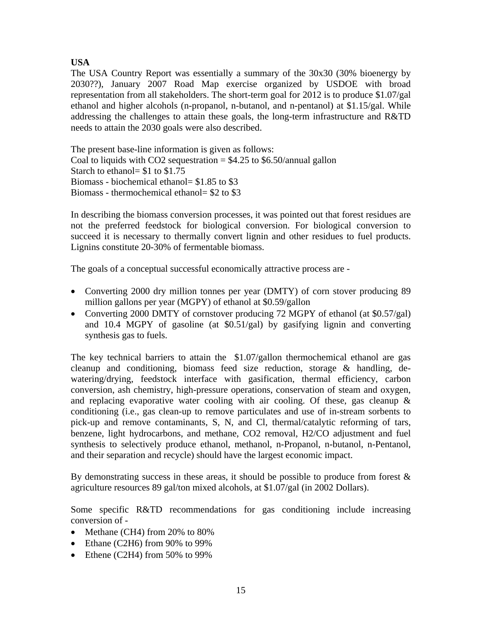## **USA**

The USA Country Report was essentially a summary of the 30x30 (30% bioenergy by 2030??), January 2007 Road Map exercise organized by USDOE with broad representation from all stakeholders. The short-term goal for 2012 is to produce \$1.07/gal ethanol and higher alcohols (n-propanol, n-butanol, and n-pentanol) at \$1.15/gal. While addressing the challenges to attain these goals, the long-term infrastructure and R&TD needs to attain the 2030 goals were also described.

The present base-line information is given as follows: Coal to liquids with CO2 sequestration  $= $4.25$  to \$6.50/annual gallon Starch to ethanol= \$1 to \$1.75 Biomass - biochemical ethanol= \$1.85 to \$3 Biomass - thermochemical ethanol= \$2 to \$3

In describing the biomass conversion processes, it was pointed out that forest residues are not the preferred feedstock for biological conversion. For biological conversion to succeed it is necessary to thermally convert lignin and other residues to fuel products. Lignins constitute 20-30% of fermentable biomass.

The goals of a conceptual successful economically attractive process are -

- Converting 2000 dry million tonnes per year (DMTY) of corn stover producing 89 million gallons per year (MGPY) of ethanol at \$0.59/gallon
- Converting 2000 DMTY of cornstover producing 72 MGPY of ethanol (at \$0.57/gal) and 10.4 MGPY of gasoline (at \$0.51/gal) by gasifying lignin and converting synthesis gas to fuels.

The key technical barriers to attain the \$1.07/gallon thermochemical ethanol are gas cleanup and conditioning, biomass feed size reduction, storage & handling, dewatering/drying, feedstock interface with gasification, thermal efficiency, carbon conversion, ash chemistry, high-pressure operations, conservation of steam and oxygen, and replacing evaporative water cooling with air cooling. Of these, gas cleanup  $\&$ conditioning (i.e., gas clean-up to remove particulates and use of in-stream sorbents to pick-up and remove contaminants, S, N, and Cl, thermal/catalytic reforming of tars, benzene, light hydrocarbons, and methane, CO2 removal, H2/CO adjustment and fuel synthesis to selectively produce ethanol, methanol, n-Propanol, n-butanol, n-Pentanol, and their separation and recycle) should have the largest economic impact.

By demonstrating success in these areas, it should be possible to produce from forest  $\&$ agriculture resources 89 gal/ton mixed alcohols, at \$1.07/gal (in 2002 Dollars).

Some specific R&TD recommendations for gas conditioning include increasing conversion of -

- Methane (CH4) from 20% to 80%
- Ethane (C2H6) from 90% to 99%
- Ethene (C2H4) from 50% to 99%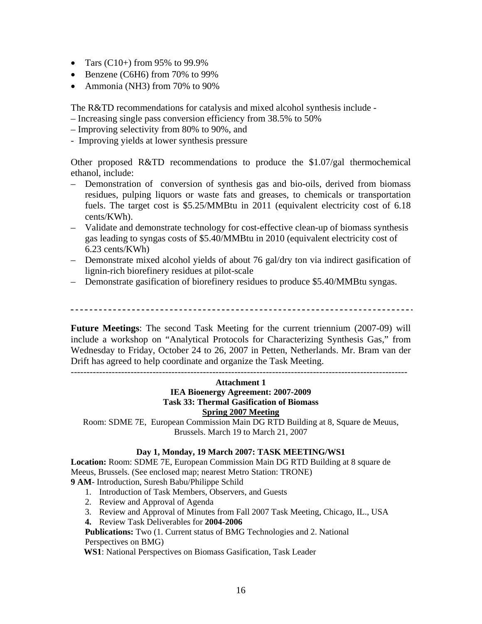- Tars  $(C10+)$  from 95% to 99.9%
- Benzene (C6H6) from 70% to 99%
- Ammonia (NH3) from 70% to 90%

The R&TD recommendations for catalysis and mixed alcohol synthesis include -

- Increasing single pass conversion efficiency from 38.5% to 50%
- Improving selectivity from 80% to 90%, and
- Improving yields at lower synthesis pressure

Other proposed R&TD recommendations to produce the \$1.07/gal thermochemical ethanol, include:

- Demonstration of conversion of synthesis gas and bio-oils, derived from biomass residues, pulping liquors or waste fats and greases, to chemicals or transportation fuels. The target cost is \$5.25/MMBtu in 2011 (equivalent electricity cost of 6.18 cents/KWh).
- Validate and demonstrate technology for cost-effective clean-up of biomass synthesis gas leading to syngas costs of \$5.40/MMBtu in 2010 (equivalent electricity cost of 6.23 cents/KWh)
- Demonstrate mixed alcohol yields of about 76 gal/dry ton via indirect gasification of lignin-rich biorefinery residues at pilot-scale
- Demonstrate gasification of biorefinery residues to produce \$5.40/MMBtu syngas.

**Future Meetings**: The second Task Meeting for the current triennium (2007-09) will include a workshop on "Analytical Protocols for Characterizing Synthesis Gas," from Wednesday to Friday, October 24 to 26, 2007 in Petten, Netherlands. Mr. Bram van der Drift has agreed to help coordinate and organize the Task Meeting.

-----------------------------------------------------------------------------------------------------------

## **Attachment 1 IEA Bioenergy Agreement: 2007-2009 Task 33: Thermal Gasification of Biomass Spring 2007 Meeting**

Room: SDME 7E, European Commission Main DG RTD Building at 8, Square de Meuus, Brussels. March 19 to March 21, 2007

## **Day 1, Monday, 19 March 2007: TASK MEETING/WS1**

**Location:** Room: SDME 7E, European Commission Main DG RTD Building at 8 square de Meeus, Brussels. (See enclosed map; nearest Metro Station: TRONE)

**9 AM**- Introduction, Suresh Babu/Philippe Schild

- 1. Introduction of Task Members, Observers, and Guests
- 2. Review and Approval of Agenda
- 3. Review and Approval of Minutes from Fall 2007 Task Meeting, Chicago, IL., USA
- **4.** Review Task Deliverables for **2004-2006**

**Publications:** Two (1. Current status of BMG Technologies and 2. National Perspectives on BMG)

 **WS1**: National Perspectives on Biomass Gasification, Task Leader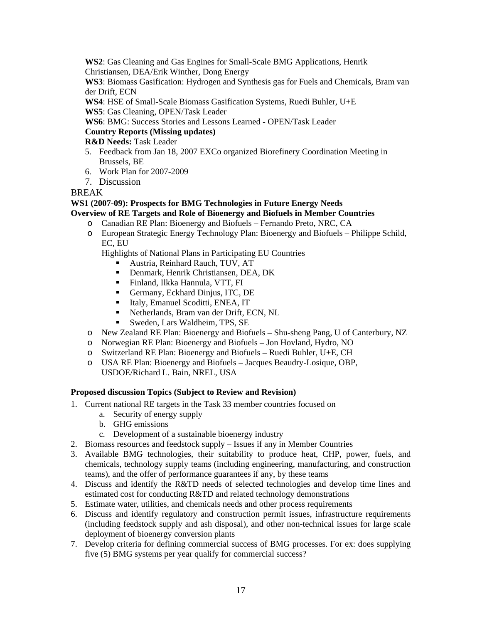**WS2**: Gas Cleaning and Gas Engines for Small-Scale BMG Applications, Henrik Christiansen, DEA/Erik Winther, Dong Energy

**WS3**: Biomass Gasification: Hydrogen and Synthesis gas for Fuels and Chemicals, Bram van der Drift, ECN

**WS4**: HSE of Small-Scale Biomass Gasification Systems, Ruedi Buhler, U+E **WS5**: Gas Cleaning, OPEN/Task Leader

**WS6**: BMG: Success Stories and Lessons Learned - OPEN/Task Leader

## **Country Reports (Missing updates)**

**R&D Needs:** Task Leader

- 5. Feedback from Jan 18, 2007 EXCo organized Biorefinery Coordination Meeting in Brussels, BE
- 6. Work Plan for 2007-2009
- 7. Discussion

## BREAK

### **WS1 (2007-09): Prospects for BMG Technologies in Future Energy Needs Overview of RE Targets and Role of Bioenergy and Biofuels in Member Countries**

- o Canadian RE Plan: Bioenergy and Biofuels Fernando Preto, NRC, CA
	- o European Strategic Energy Technology Plan: Bioenergy and Biofuels Philippe Schild, EC, EU

Highlights of National Plans in Participating EU Countries

- Austria, Reinhard Rauch, TUV, AT
- Denmark, Henrik Christiansen, DEA, DK
- Finland, Ilkka Hannula, VTT, FI
- Germany, Eckhard Dinjus, ITC, DE
- Italy, Emanuel Scoditti, ENEA, IT
- Ketherlands, Bram van der Drift, ECN, NL
- Sweden, Lars Waldheim, TPS, SE
- o New Zealand RE Plan: Bioenergy and Biofuels Shu-sheng Pang, U of Canterbury, NZ
- o Norwegian RE Plan: Bioenergy and Biofuels Jon Hovland, Hydro, NO
- o Switzerland RE Plan: Bioenergy and Biofuels Ruedi Buhler, U+E, CH
- o USA RE Plan: Bioenergy and Biofuels Jacques Beaudry-Losique, OBP, USDOE/Richard L. Bain, NREL, USA

## **Proposed discussion Topics (Subject to Review and Revision)**

- 1. Current national RE targets in the Task 33 member countries focused on
	- a. Security of energy supply
	- b. GHG emissions
	- c. Development of a sustainable bioenergy industry
- 2. Biomass resources and feedstock supply Issues if any in Member Countries
- 3. Available BMG technologies, their suitability to produce heat, CHP, power, fuels, and chemicals, technology supply teams (including engineering, manufacturing, and construction teams), and the offer of performance guarantees if any, by these teams
- 4. Discuss and identify the R&TD needs of selected technologies and develop time lines and estimated cost for conducting R&TD and related technology demonstrations
- 5. Estimate water, utilities, and chemicals needs and other process requirements
- 6. Discuss and identify regulatory and construction permit issues, infrastructure requirements (including feedstock supply and ash disposal), and other non-technical issues for large scale deployment of bioenergy conversion plants
- 7. Develop criteria for defining commercial success of BMG processes. For ex: does supplying five (5) BMG systems per year qualify for commercial success?